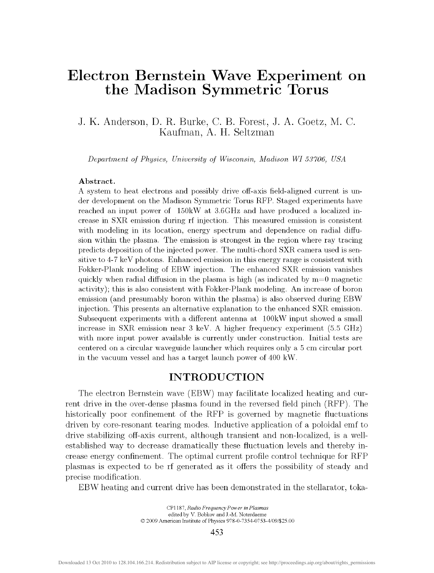# Electron Bernstein Wave Experiment on the Madison Symmetric Torus

# J. K. Anderson, D. R. Burke, C. B. Forest, J. A. Goetz, M. C. Kaufman, A. H. Seltzman

*Department of Physics, University of Wisconsin, Madison WI 53706, USA* 

#### **Abstract.**

A system to heat electrons and possibly drive off-axis field-aligned current is under development on the Madison Symmetric Torus RFP. Staged experiments have reached an input power of 150kW at 3.6GHz and have produced a localized increase in SXR emission during rf injection. This measured emission is consistent with modeling in its location, energy spectrum and dependence on radial diffusion within the plasma. The emission is strongest in the region where ray tracing predicts deposition of the injected power. The multi-chord SXR camera used is sensitive to 4-7 keV photons. Enhanced emission in this energy range is consistent with Fokker-Plank modeling of EBW injection. The enhanced SXR emission vanishes quickly when radial diffusion in the plasma is high (as indicated by  $m=0$  magnetic activity); this is also consistent with Fokker-Plank modeling. An increase of boron emission (and presumably boron within the plasma) is also observed during EBW injection. This presents an alternative explanation to the enhanced SXR emission. Subsequent experiments with a different antenna at 100kW input showed a small increase in SXR emission near 3 keV. A higher frequency experiment (5.5 GHz) with more input power available is currently under construction. Initial tests are centered on a circular waveguide launcher which requires only a 5 cm circular port in the vacuum vessel and has a target launch power of 400 kW.

### INTRODUCTION

The electron Bernstein wave (EBW) may facilitate localized heating and current drive in the over-dense plasma found in the reversed field pinch (RFP). The historically poor confinement of the RFP is governed by magnetic fluctuations driven by core-resonant tearing modes. Inductive application of a poloidal emf to drive stabilizing off-axis current, although transient and non-localized, is a wellestablished way to decrease dramatically these fluctuation levels and thereby increase energy confinement. The optimal current profile control technique for RFP plasmas is expected to be rf generated as it offers the possibility of steady and precise modification.

EBW heating and current drive has been demonstrated in the stellarator, toka-

453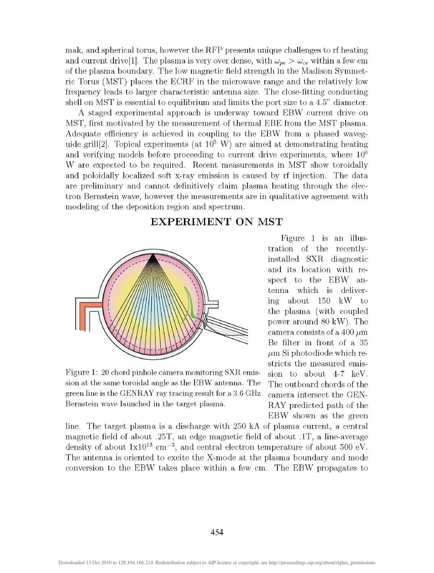mak, and spherical torus, however the RFP presents unique challenges to rf heating and current drive<sup>[1]</sup>. The plasma is very over dense, with  $\omega_{pe} > \omega_{ce}$  within a few cm of the plasma boundary. The low magnetic field strength in the Madison Symmetric Torus (MST) places the ECRF in the microwave range and the relatively low frequency leads to larger characteristic antenna size. The close-fitting conducting shell on MST is essential to equilibrium and limits the port size to a 4.5" diameter.

A staged experimental approach is underway toward EBW current drive on MST, first motivated by the measurement of thermal EBE from the MST plasma. Adequate efficiency is achieved in coupling to the EBW from a phased waveguide grill[2]. Topical experiments (at  $10^5$  W) are aimed at demonstrating heating and verifying models before proceeding to current drive experiments, where  $10^6$ W are expected to be required. Recent measurements in MST show toroidally and poloidally localized soft x-ray emission is caused by rf injection. The data are preliminary and cannot definitively claim plasma heating through the electron Bernstein wave, however the measurements are in qualitative agreement with modeling of the deposition region and spectrum.

### EXPERIMENT ON MST



Figure 1: 20 chord pinhole camera monitoring SXR emission at the same toroidal angle as the EBW antenna. The green line is the GENRAY ray tracing result for a 3.6 GHz Bernstein wave launched in the target plasma.

Figure 1 is an illustration of the recentlyinstalled SXR diagnostic and its location with respect to the EBW antenna which is delivering about 150 kW to the plasma (with coupled power around 80 kW). The camera consists of a 400  $\mu$ m Be filter in front of a 35  $\mu$ m Si photodiode which restricts the measured emission to about 4-7 keV. The outboard chords of the camera intersect the GEN-RAY predicted path of the EBW shown as the green

line. The target plasma is a discharge with 250 kA of plasma current, a central magnetic field of about .25T, an edge magnetic field of about .IT, a line-average density of about  $1x10^{13}$  cm<sup>-3</sup>, and central electron temperature of about 500 eV. The antenna is oriented to excite the X-mode at the plasma boundary and mode conversion to the EBW takes place within a few cm. The EBW propagates to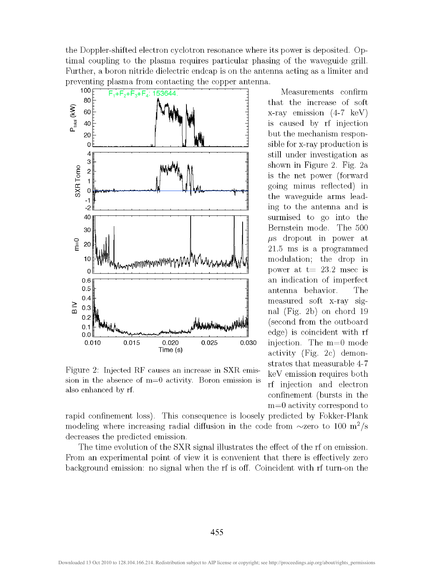the Doppler-shifted electron cyclotron resonance where its power is deposited. Optimal coupling to the plasma requires particular phasing of the waveguide grill. Further, a boron nitride dielectric endcap is on the antenna acting as a limiter and preventing plasma from contacting the copper antenna.



Figure 2: Injected RF causes an increase in SXR emission in the absence of  $m=0$  activity. Boron emission is also enhanced by rf.

Measurements confirm that the increase of soft x-ray emission (4-7 keV) is caused by rf injection but the mechanism responsible for x-ray production is still under investigation as shown in Figure 2. Fig. 2a is the net power (forward going minus reflected) in the waveguide arms leading to the antenna and is surmised to go into the Bernstein mode. The 500 */js* dropout in power at 21.5 ms is a programmed modulation; the drop in power at  $t=23.2$  msec is an indication of imperfect antenna behavior. The measured soft x-ray signal (Fig. 2b) on chord 19 (second from the outboard edge) is coincident with rf injection. The m=0 mode activity (Fig. 2c) demonstrates that measurable 4-7 keV emission requires both rf injection and electron confinement (bursts in the m=0 activity correspond to

rapid confinement loss). This consequence is loosely predicted by Fokker-Plank modeling where increasing radial diffusion in the code from  $\sim$ zero to 100 m<sup>2</sup>/s decreases the predicted emission.

The time evolution of the SXR signal illustrates the effect of the rf on emission. From an experimental point of view it is convenient that there is effectively zero background emission: no signal when the rf is off. Coincident with rf turn-on the